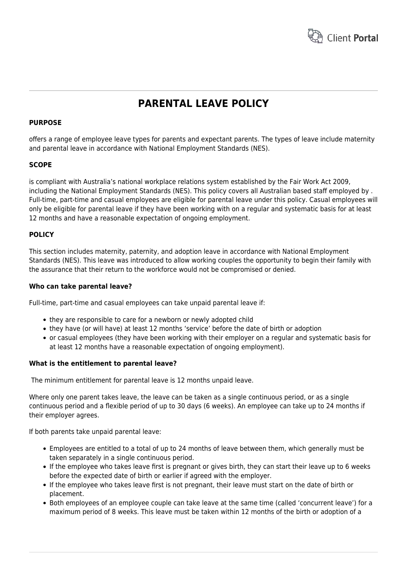

# **PARENTAL LEAVE POLICY**

# **PURPOSE**

offers a range of employee leave types for parents and expectant parents. The types of leave include maternity and parental leave in accordance with National Employment Standards (NES).

# **SCOPE**

is compliant with Australia's national workplace relations system established by the Fair Work Act 2009, including the National Employment Standards (NES). This policy covers all Australian based staff employed by . Full-time, part-time and casual employees are eligible for parental leave under this policy. Casual employees will only be eligible for parental leave if they have been working with on a regular and systematic basis for at least 12 months and have a reasonable expectation of ongoing employment.

# **POLICY**

This section includes maternity, paternity, and adoption leave in accordance with National Employment Standards (NES). This leave was introduced to allow working couples the opportunity to begin their family with the assurance that their return to the workforce would not be compromised or denied.

# **Who can take parental leave?**

Full-time, part-time and casual employees can take unpaid parental leave if:

- they are responsible to care for a newborn or newly adopted child
- they have (or will have) at least 12 months 'service' before the date of birth or adoption
- or casual employees (they have been working with their employer on a regular and systematic basis for at least 12 months have a reasonable expectation of ongoing employment).

# **What is the entitlement to parental leave?**

The minimum entitlement for parental leave is 12 months unpaid leave.

Where only one parent takes leave, the leave can be taken as a single continuous period, or as a single continuous period and a flexible period of up to 30 days (6 weeks). An employee can take up to 24 months if their employer agrees.

If both parents take unpaid parental leave:

- Employees are entitled to a total of up to 24 months of leave between them, which generally must be taken separately in a single continuous period.
- If the employee who takes leave first is pregnant or gives birth, they can start their leave up to 6 weeks before the expected date of birth or earlier if agreed with the employer.
- If the employee who takes leave first is not pregnant, their leave must start on the date of birth or placement.
- Both employees of an employee couple can take leave at the same time (called 'concurrent leave') for a maximum period of 8 weeks. This leave must be taken within 12 months of the birth or adoption of a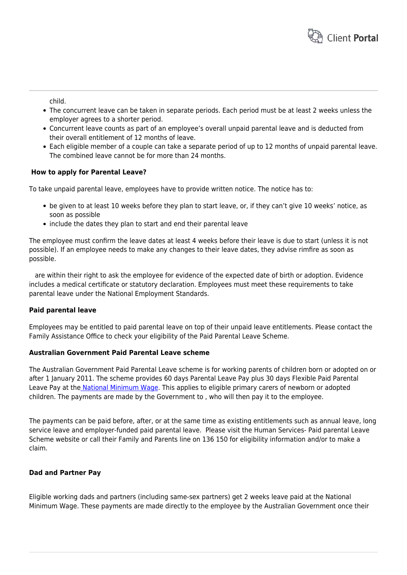

child.

- The concurrent leave can be taken in separate periods. Each period must be at least 2 weeks unless the employer agrees to a shorter period.
- Concurrent leave counts as part of an employee's overall unpaid parental leave and is deducted from their overall entitlement of 12 months of leave.
- Each eligible member of a couple can take a separate period of up to 12 months of unpaid parental leave. The combined leave cannot be for more than 24 months.

# **How to apply for Parental Leave?**

To take unpaid parental leave, employees have to provide written notice. The notice has to:

- be given to at least 10 weeks before they plan to start leave, or, if they can't give 10 weeks' notice, as soon as possible
- include the dates they plan to start and end their parental leave

The employee must confirm the leave dates at least 4 weeks before their leave is due to start (unless it is not possible). If an employee needs to make any changes to their leave dates, they advise rimfire as soon as possible.

 are within their right to ask the employee for evidence of the expected date of birth or adoption. Evidence includes a medical certificate or statutory declaration. Employees must meet these requirements to take parental leave under the National Employment Standards.

# **Paid parental leave**

Employees may be entitled to paid parental leave on top of their unpaid leave entitlements. Please contact the Family Assistance Office to check your eligibility of the Paid Parental Leave Scheme.

# **Australian Government Paid Parental Leave scheme**

The Australian Government Paid Parental Leave scheme is for working parents of children born or adopted on or after 1 January 2011. The scheme provides 60 days Parental Leave Pay plus 30 days Flexible Paid Parental Leave Pay at th[e National Minimum Wage](http://www.fairwork.gov.au/pay/national-minimum-wage/pages/default.aspx). This applies to eligible primary carers of newborn or adopted children. The payments are made by the Government to , who will then pay it to the employee.

The payments can be paid before, after, or at the same time as existing entitlements such as annual leave, long service leave and employer-funded paid parental leave. Please visit the Human Services- Paid parental Leave Scheme website or call their Family and Parents line on 136 150 for eligibility information and/or to make a claim.

# **Dad and Partner Pay**

Eligible working dads and partners (including same-sex partners) get 2 weeks leave paid at the National Minimum Wage. These payments are made directly to the employee by the Australian Government once their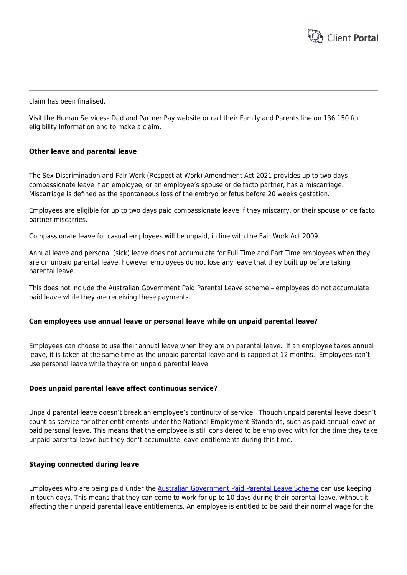

claim has been finalised.

Visit the Human Services– Dad and Partner Pay website or call their Family and Parents line on 136 150 for eligibility information and to make a claim.

# **Other leave and parental leave**

The Sex Discrimination and Fair Work (Respect at Work) Amendment Act 2021 provides up to two days compassionate leave if an employee, or an employee's spouse or de facto partner, has a miscarriage. Miscarriage is defined as the spontaneous loss of the embryo or fetus before 20 weeks gestation.

Employees are eligible for up to two days paid compassionate leave if they miscarry, or their spouse or de facto partner miscarries.

Compassionate leave for casual employees will be unpaid, in line with the Fair Work Act 2009.

Annual leave and personal (sick) leave does not accumulate for Full Time and Part Time employees when they are on unpaid parental leave, however employees do not lose any leave that they built up before taking parental leave.

This does not include the Australian Government Paid Parental Leave scheme – employees do not accumulate paid leave while they are receiving these payments.

#### **Can employees use annual leave or personal leave while on unpaid parental leave?**

Employees can choose to use their annual leave when they are on parental leave. If an employee takes annual leave, it is taken at the same time as the unpaid parental leave and is capped at 12 months. Employees can't use personal leave while they're on unpaid parental leave.

#### **Does unpaid parental leave affect continuous service?**

Unpaid parental leave doesn't break an employee's continuity of service. Though unpaid parental leave doesn't count as service for other entitlements under the National Employment Standards, such as paid annual leave or paid personal leave. This means that the employee is still considered to be employed with for the time they take unpaid parental leave but they don't accumulate leave entitlements during this time.

#### **Staying connected during leave**

Employees who are being paid under the [Australian Government Paid Parental Leave Scheme](http://www.fairwork.gov.au/leave/parental-leave/pages/paid-parental-leave.aspx) can use keeping in touch days. This means that they can come to work for up to 10 days during their parental leave, without it affecting their unpaid parental leave entitlements. An employee is entitled to be paid their normal wage for the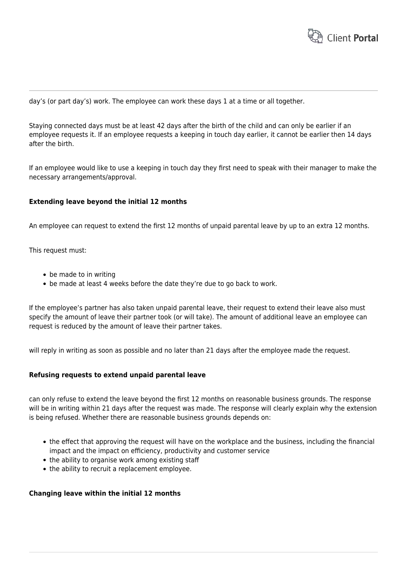

day's (or part day's) work. The employee can work these days 1 at a time or all together.

Staying connected days must be at least 42 days after the birth of the child and can only be earlier if an employee requests it. If an employee requests a keeping in touch day earlier, it cannot be earlier then 14 days after the birth.

If an employee would like to use a keeping in touch day they first need to speak with their manager to make the necessary arrangements/approval.

# **Extending leave beyond the initial 12 months**

An employee can request to extend the first 12 months of unpaid parental leave by up to an extra 12 months.

This request must:

- be made to in writing
- be made at least 4 weeks before the date they're due to go back to work.

If the employee's partner has also taken unpaid parental leave, their request to extend their leave also must specify the amount of leave their partner took (or will take). The amount of additional leave an employee can request is reduced by the amount of leave their partner takes.

will reply in writing as soon as possible and no later than 21 days after the employee made the request.

# **Refusing requests to extend unpaid parental leave**

can only refuse to extend the leave beyond the first 12 months on reasonable business grounds. The response will be in writing within 21 days after the request was made. The response will clearly explain why the extension is being refused. Whether there are reasonable business grounds depends on:

- the effect that approving the request will have on the workplace and the business, including the financial impact and the impact on efficiency, productivity and customer service
- the ability to organise work among existing staff
- the ability to recruit a replacement employee.

# **Changing leave within the initial 12 months**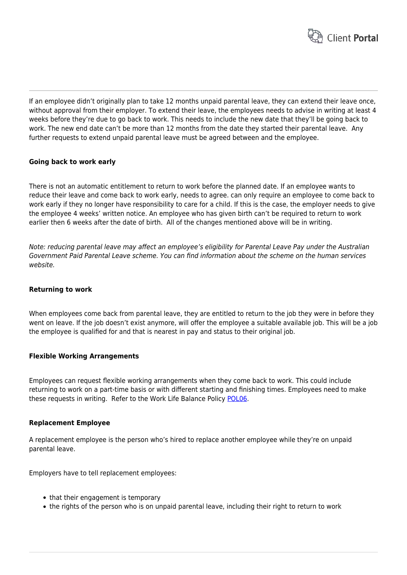

If an employee didn't originally plan to take 12 months unpaid parental leave, they can extend their leave once, without approval from their employer. To extend their leave, the employees needs to advise in writing at least 4 weeks before they're due to go back to work. This needs to include the new date that they'll be going back to work. The new end date can't be more than 12 months from the date they started their parental leave. Any further requests to extend unpaid parental leave must be agreed between and the employee.

# **Going back to work early**

There is not an automatic entitlement to return to work before the planned date. If an employee wants to reduce their leave and come back to work early, needs to agree. can only require an employee to come back to work early if they no longer have responsibility to care for a child. If this is the case, the employer needs to give the employee 4 weeks' written notice. An employee who has given birth can't be required to return to work earlier then 6 weeks after the date of birth. All of the changes mentioned above will be in writing.

Note: reducing parental leave may affect an employee's eligibility for Parental Leave Pay under the Australian Government Paid Parental Leave scheme. You can find information about the scheme on the human services website.

# **Returning to work**

When employees come back from parental leave, they are entitled to return to the job they were in before they went on leave. If the job doesn't exist anymore, will offer the employee a suitable available job. This will be a job the employee is qualified for and that is nearest in pay and status to their original job.

# **Flexible Working Arrangements**

Employees can request flexible working arrangements when they come back to work. This could include returning to work on a part-time basis or with different starting and finishing times. Employees need to make these requests in writing. Refer to the Work Life Balance Policy [POL06.](https://www.hrtemplates.com.au/policies_procedures/hr-pol06-flexible-arrangements-policy/)

# **Replacement Employee**

A replacement employee is the person who's hired to replace another employee while they're on unpaid parental leave.

Employers have to tell replacement employees:

- that their engagement is temporary
- the rights of the person who is on unpaid parental leave, including their right to return to work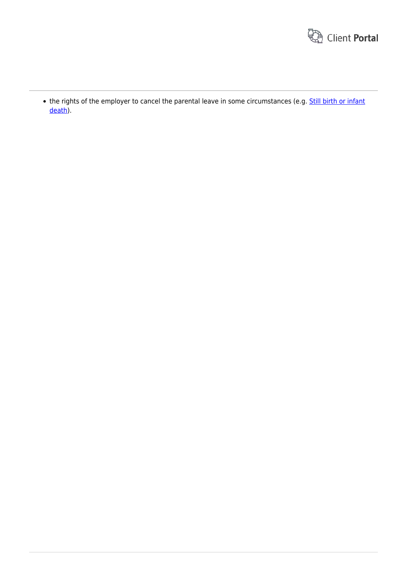

• the rights of the employer to cancel the parental leave in some circumstances (e.g. [Still birth or infant](http://www.fairwork.gov.au/leave/parental-leave/pages/still-birth-or-infant-death.aspx) [death\)](http://www.fairwork.gov.au/leave/parental-leave/pages/still-birth-or-infant-death.aspx).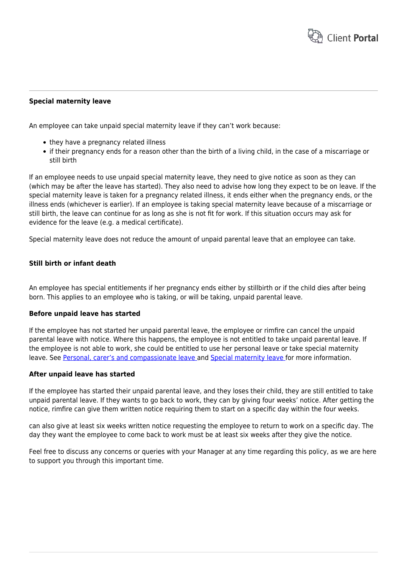

# **Special maternity leave**

An employee can take unpaid special maternity leave if they can't work because:

- they have a pregnancy related illness
- if their pregnancy ends for a reason other than the birth of a living child, in the case of a miscarriage or still birth

If an employee needs to use unpaid special maternity leave, they need to give notice as soon as they can (which may be after the leave has started). They also need to advise how long they expect to be on leave. If the special maternity leave is taken for a pregnancy related illness, it ends either when the pregnancy ends, or the illness ends (whichever is earlier). If an employee is taking special maternity leave because of a miscarriage or still birth, the leave can continue for as long as she is not fit for work. If this situation occurs may ask for evidence for the leave (e.g. a medical certificate).

Special maternity leave does not reduce the amount of unpaid parental leave that an employee can take.

# **Still birth or infant death**

An employee has special entitlements if her pregnancy ends either by stillbirth or if the child dies after being born. This applies to an employee who is taking, or will be taking, unpaid parental leave.

#### **Before unpaid leave has started**

If the employee has not started her unpaid parental leave, the employee or rimfire can cancel the unpaid parental leave with notice. Where this happens, the employee is not entitled to take unpaid parental leave. If the employee is not able to work, she could be entitled to use her personal leave or take special maternity leave. See [Personal, carer's and compassionate leave](http://www.fairwork.gov.au/leave/personal-carers-and-compassionate-leave/pages/default.aspx) and [Special maternity leave f](http://www.fairwork.gov.au/leave/parental-leave/pages/special-maternity-leave.aspx)or more information.

#### **After unpaid leave has started**

If the employee has started their unpaid parental leave, and they loses their child, they are still entitled to take unpaid parental leave. If they wants to go back to work, they can by giving four weeks' notice. After getting the notice, rimfire can give them written notice requiring them to start on a specific day within the four weeks.

can also give at least six weeks written notice requesting the employee to return to work on a specific day. The day they want the employee to come back to work must be at least six weeks after they give the notice.

Feel free to discuss any concerns or queries with your Manager at any time regarding this policy, as we are here to support you through this important time.